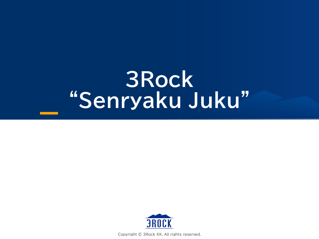## **3Rock "Senryaku Juku"**



Copyright © 3Rock KK. All rights reserved.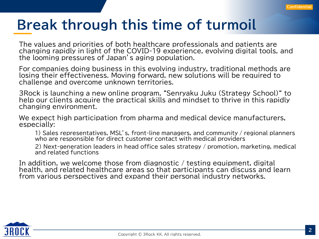### **Break through this time of turmoil**

The values and priorities of both healthcare professionals and patients are changing rapidly in light of the COVID-19 experience, evolving digital tools, and the looming pressures of Japan's aging population.

For companies doing business in this evolving industry, traditional methods are losing their effectiveness. Moving forward, new solutions will be required to challenge and overcome unknown territories.

3Rock is launching a new online program, "Senryaku Juku (Strategy School)" to help our clients acquire the practical skills and mindset to thrive in this rapidly changing environment.

We expect high participation from pharma and medical device manufacturers, especially:

1) Sales representatives, MSL's, front-line managers, and community / regional planners who are responsible for direct customer contact with medical providers

2) Next-generation leaders in head office sales strategy / promotion, marketing, medical and related functions

In addition, we welcome those from diagnostic / testing equipment, digital health, and related healthcare areas so that participants can discuss and learn from various perspectives and expand their personal industry networks.

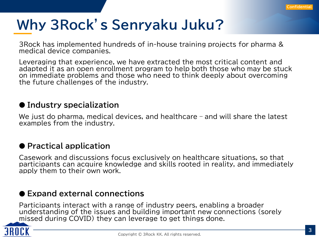## **Why 3Rock's Senryaku Juku?**

3Rock has implemented hundreds of in-house training projects for pharma & medical device companies.

Leveraging that experience, we have extracted the most critical content and adapted it as an open enrollment program to help both those who may be stuck on immediate problems and those who need to think deeply about overcoming the future challenges of the industry.

#### ● **Industry specialization**

We just do pharma, medical devices, and healthcare – and will share the latest examples from the industry.

#### ● **Practical application**

Casework and discussions focus exclusively on healthcare situations, so that participants can acquire knowledge and skills rooted in reality, and immediately apply them to their own work.

#### ● **Expand external connections**

Participants interact with a range of industry peers, enabling a broader understanding of the issues and building important new connections (sorely missed during COVID) they can leverage to get things done.

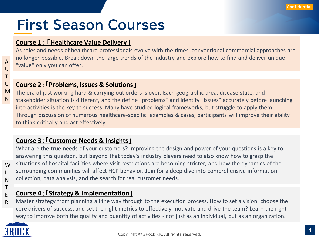## **First Season Courses**

#### **Course 1**: 「**Healthcare Value Delivery**」

As roles and needs of healthcare professionals evolve with the times, conventional commercial approaches are no longer possible. Break down the large trends of the industry and explore how to find and deliver unique "value" only you can offer.

#### **Course 2**:「**Problems, Issues & Solutions**」

The era of just working hard & carrying out orders is over. Each geographic area, disease state, and M

stakeholder situation is different, and the define "problems" and identify "issues" accurately before launching into activities is the key to success. Many have studied logical frameworks, but struggle to apply them. Through discussion of numerous healthcare-specific examples & cases, participants will improve their ability to think critically and act effectively.

#### **Course 3**:「**Customer Needs & Insights**」

What are the true needs of your customers? Improving the design and power of your questions is a key to answering this question, but beyond that today's industry players need to also know how to grasp the situations of hospital facilities where visit restrictions are becoming stricter, and how the dynamics of the surrounding communities will affect HCP behavior. Join for a deep dive into comprehensive information collection, data analysis, and the search for real customer needs.

#### **Course 4**:「**Strategy & Implementation**」 E

Master strategy from planning all the way through to the execution process. How to set a vision, choose the core drivers of success, and set the right metrics to effectively motivate and drive the team? Learn the right way to improve both the quality and quantity of activities - not just as an individual, but as an organization. R



A  $\cup$ T  $\cup$ 

N

W I N T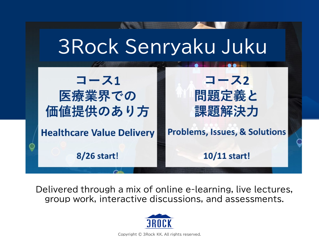## 3Rock Senryaku Juku

# コース1  **医療業界での**<br>価値提供のあり方

**Healthcare Value Delivery** 

8/26 start!

コース2 問題定義と 課題解決力

### **Problems, Issues, & Solutions**

10/11 start!

Delivered through a mix of online e-learning, live lectures, group work, interactive discussions, and assessments.



Copyright © 3Rock KK. All rights reserved.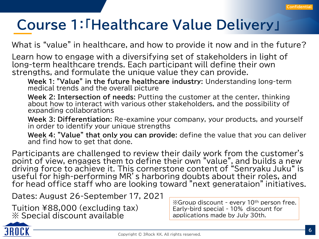## **Course 1:「Healthcare Value Delivery」**

What is "value" in healthcare, and how to provide it now and in the future?

Learn how to engage with a diversifying set of stakeholders in light of long-term healthcare trends. Each participant will define their own strengths, and formulate the unique value they can provide.

**Week 1: "Value" in the future healthcare industry:** Understanding long-term medical trends and the overall picture

**Week 2: Intersection of needs:** Putting the customer at the center, thinking about how to interact with various other stakeholders, and the possibility of expanding collaborations

**Week 3: Differentiation:** Re-examine your company, your products, and yourself in order to identify your unique strengths

**Week 4: "Value" that only you can provide:** define the value that you can deliver and find how to get that done.

Participants are challenged to review their daily work from the customer's point of view, engages them to define their own "value", and builds a new driving force to achieve it. This cornerstone content of "Senryaku Juku" is useful for high-performing MR's harboring doubts about their roles, and for head office staff who are looking toward "next generataion" initiatives.

Dates: August 26-September 17, 2021

Tuition ¥88,000 (excluding tax) ※ Special discount available

※Group discount - every 10th person free. Early-bird special - 10% discount for applications made by July 30th.

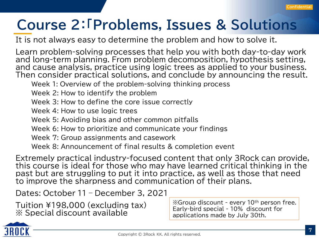## **Course 2:「Problems, Issues & Solutions**

It is not always easy to determine the problem and how to solve it.

Learn problem-solving processes that help you with both day-to-day work and long-term planning. From problem decomposition, hypothesis setting, and cause analysis, practice using logic trees as applied to your business. Then consider practical solutions, and conclude by announcing the result.

Week 1: Overview of the problem-solving thinking process

Week 2: How to identify the problem

Week 3: How to define the core issue correctly

Week 4: How to use logic trees

Week 5: Avoiding bias and other common pitfalls

Week 6: How to prioritize and communicate your findings

Week 7: Group assignments and casework

Week 8: Announcement of final results & completion event

Extremely practical industry-focused content that only 3Rock can provide, this course is ideal for those who may have learned critical thinking in the past but are struggling to put it into practice, as well as those that need to improve the sharpness and communication of their plans.

Dates: October 11 – December 3, 2021

Tuition ¥198,000 (excluding tax) ※ Special discount available

※Group discount - every 10th person free. Early-bird special - 10% discount for applications made by July 30th.

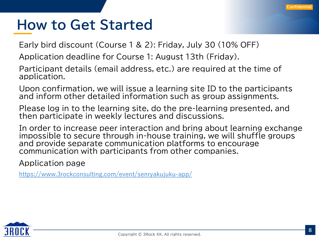### **How to Get Started**

Early bird discount (Course 1 & 2): Friday, July 30 (10% OFF)

Application deadline for Course 1: August 13th (Friday).

Participant details (email address, etc.) are required at the time of application.

Upon confirmation, we will issue a learning site ID to the participants and inform other detailed information such as group assignments.

Please log in to the learning site, do the pre-learning presented, and then participate in weekly lectures and discussions.

In order to increase peer interaction and bring about learning exchange impossible to secure through in-house training, we will shuffle groups and provide separate communication platforms to encourage communication with participants from other companies.

Application page

<https://www.3rockconsulting.com/event/senryakujuku-app/>